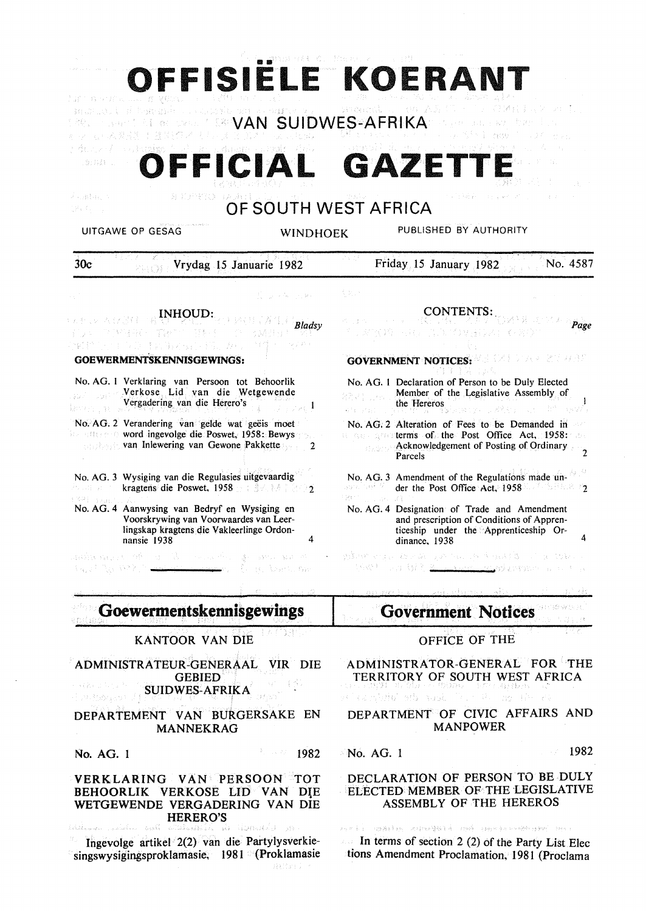| 建工具当时表示: 100       | ver                                                                                                                                                                  |                             |          | OFFISIELE KOERANT                                                                                                                                                                      |          |
|--------------------|----------------------------------------------------------------------------------------------------------------------------------------------------------------------|-----------------------------|----------|----------------------------------------------------------------------------------------------------------------------------------------------------------------------------------------|----------|
|                    | seustido i difugendo o contexio de condense do                                                                                                                       | <b>COVAN SUIDWES-AFRIKA</b> | anescol. | <b>JUNE 初期</b>                                                                                                                                                                         |          |
|                    | uggo 's el se conservación alub<br>OFFICIAL                                                                                                                          |                             |          | GAZETTE                                                                                                                                                                                |          |
| 不可避免的 医<br>그림도 얼마나 | 医肌分析员 法通过                                                                                                                                                            | OF SOUTH WEST AFRICA        |          |                                                                                                                                                                                        |          |
|                    | UITGAWE OP GESAG                                                                                                                                                     | <b>WINDHOEK</b>             |          | PUBLISHED BY AUTHORITY                                                                                                                                                                 |          |
| 30c                | Vrydag 15 Januarie 1982                                                                                                                                              |                             |          | Friday 15 January 1982                                                                                                                                                                 | No. 4587 |
|                    |                                                                                                                                                                      | Construction and pro        | i bi s   |                                                                                                                                                                                        |          |
|                    | <b>INHOUD:</b>                                                                                                                                                       | Bladsv                      |          | CONTENTS:                                                                                                                                                                              | Page     |
|                    | <b>GOEWERMENTSKENNISGEWINGS:</b>                                                                                                                                     |                             |          | <b>GOVERNMENT NOTICES:</b> MELTAN AND MELTAN                                                                                                                                           |          |
|                    | No. AG. 1 Verklaring van Persoon tot Behoorlik<br>Verkose Lid van die Wetgewende<br>Vergadering van die Herero's                                                     |                             |          | No. AG. 1 Declaration of Person to be Duly Elected<br>Member of the Legislative Assembly of<br>the Hereros<br>おしののアール スタクテーショ                                                          |          |
|                    | No. AG. 2 Verandering van gelde wat geëis moet<br><b>Example 2018</b> word ingevolge die Poswet, 1958: Bewys<br><b>Example 18 van Inlewering van Gewone Pakkette</b> |                             |          | No. AG. 2 Alteration of Fees to be Demanded in<br>a consideration of the Post Office. Act, 1958: 25:<br><b>Acknowledgement of Posting of Ordinary</b><br>Parcels                       |          |
|                    | No. AG. 3 Wysiging van die Regulasies uitgevaardig<br>kragtens die Poswet, 1958 auf Statte in 2002                                                                   |                             |          | No. AG. 3 Amendment of the Regulations made un-<br>der the Post Office Act, 1958<br>30일 일학 1위                                                                                          |          |
| - 39 juli 1999     | No. AG. 4 Aanwysing van Bedryf en Wysiging en<br>Voorskrywing van Voorwaardes van Leer-<br>lingskap kragtens die Vakleerlinge Ordon-<br>nansie 1938                  | 4                           |          | No. AG. 4 Designation of Trade and Amendment<br>and prescription of Conditions of Appren-<br>ticeship under the Apprenticeship Or-<br>dinance, 1938                                    |          |
|                    | Says The SYX President Company Three Assembly                                                                                                                        |                             |          | . That is to detail by an our our and any soday of the annual manner of the state of the state states.<br>THE COURT OF A REAL PROPERTY OF<br><u> angaz kau laiketing shi na manati</u> |          |
|                    | <b>Goewermentskennisgewings</b>                                                                                                                                      |                             |          | Government Notices                                                                                                                                                                     |          |
|                    | <b>KANTOOR VAN DIE</b>                                                                                                                                               |                             |          | OFFICE OF THE                                                                                                                                                                          |          |
|                    | ADMINISTRATEUR-GENERAAL VIR DIE<br><b>GEBIED</b><br><b>SUIDWES-AFRIKA</b>                                                                                            |                             |          | ADMINISTRATOR-GENERAL FOR THE<br>TERRITORY OF SOUTH WEST AFRICA<br>トルト(特徴集) おんかちょう とうわわねん こうもうか 見見られている。<br>ve kanskrige mid saga fra 1980 mm (Pro Pa                                  |          |
|                    | DEPARTEMENT VAN BURGERSAKE EN<br><b>MANNEKRAG</b>                                                                                                                    |                             |          | DEPARTMENT OF CIVIC AFFAIRS AND<br><b>MANPOWER</b>                                                                                                                                     |          |
| No. AG. 1          |                                                                                                                                                                      | 1982                        |          | - No. AG. 1                                                                                                                                                                            | 1982     |
|                    | VERKLARING VAN PERSOON TOT<br>BEHOORLIK VERKOSE LID VAN DIE<br>WETGEWENDE VERGADERING VAN DIE<br><b>HERERO'S</b><br>العراف المعتمون وأنفر بالمتعدلات المت            |                             |          | DECLARATION OF PERSON TO BE DULY<br>ELECTED MEMBER OF THE LEGISLATIVE<br>ASSEMBLY OF THE HEREROS<br>两大新, (1288年)就 网络细绿绿色素 的词 (1999年)和一级地理的地位 1991年                                     |          |
|                    | Ingevolge artikel 2(2) van die Partylysverkie-<br>singswysigingsproklamasie, 1981 (Proklamasie                                                                       | 見知ない?                       |          | In terms of section $2(2)$ of the Party List Elec<br>tions Amendment Proclamation, 1981 (Proclama                                                                                      |          |

 $\frac{1}{2} \sum_{i=1}^n \frac{1}{2} \sum_{j=1}^n \frac{1}{2} \sum_{j=1}^n \frac{1}{2} \sum_{j=1}^n \frac{1}{2} \sum_{j=1}^n \frac{1}{2} \sum_{j=1}^n \frac{1}{2} \sum_{j=1}^n \frac{1}{2} \sum_{j=1}^n \frac{1}{2} \sum_{j=1}^n \frac{1}{2} \sum_{j=1}^n \frac{1}{2} \sum_{j=1}^n \frac{1}{2} \sum_{j=1}^n \frac{1}{2} \sum_{j=1}^n \frac{1}{2} \sum_{j=$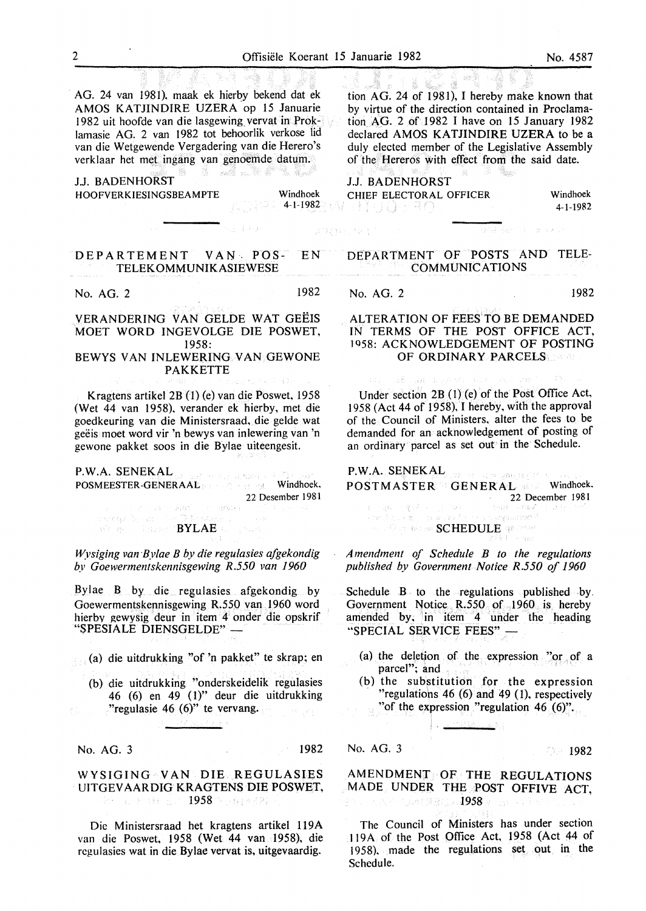AG. 24 van 1981), maak ek hierby bekend dat ek AMOS KATJINDIRE UZERA op 15 Januarie 1982 uit hoofde van die lasgewing\_ vervat in Proklamasie AG. 2 van 1982 tot behoorlik verkose lid van die Wetgewende Vergadering van die Herero's verklaar het met ingang van genoemde datum.

- este 1

J.J. BADENHORST HOOFVERKIESINGSBEAMPTE Windhoek

 $\mathbb{Z} \oplus \mathbb{Z}$  4-1-1982)  $\mathbb{Z}$ 

tion AG. 24 of 1981), I hereby make known that by virtue of the direction contained in Proclamation AG. 2 of 1982 I have on 15 January 1982 declared AMOS KATJINDIRE UZERA to be a duly elected member of the Legislative Assembly of the Hereros with effect from the said date.

e 20e pro

J.J. BADENHORST CHIEF ELECTORAL OFFICER Windhoek<br>4-1-1982<br>4-1-1982

4-1-1982

.<br>VARSkotti en valo

## DEPARTEMENT VAN. POS- EN TELEKOMMUNIKASIEWESE

No. AG. 2 1982

STRANGE PER

VERANDERING VAN GELDE WAT GEEIS MOET WORD INGEVOLGE DIE POSWET, 1958:

### BEWYS VAN INLEWERING VAN GEWONE PAKKETTE

Kragtens artikel 2B (1) (e) van die Poswet, 1958 (Wet 44 van 1958), verander ek hierby, met die goedkeuring van die Ministersraad, die gelde wat geeis moet word vir 'n bewys van inlewering van 'n gewone pakket soos in die Bylae uiteengesit.

P.W.A. SENEKAL

POSMEESTER-GENERAAL **All and the second windhoek**, 22 Desember 1981  $\mathcal{A}=\left[0.05\right]^{2}=\left\langle c\right\rangle\left(0.04\right)\epsilon_{\mathrm{F}}$ 

nsheraji (N. Szan We also a larger (BYLAE or

*Wysiging van Bylae B by die regulasies afgekondig by Goewermentskennisgewing R.550 van 1960* 

Bylae B by die regulasies afgekondig by Goewermentskennisgewing R.550 van 1960 word hierbv gewysig deur in item 4 onder die opskrif "SPESIALE DIENSGELDE" -

- (a) die uitdrukking "of 'n pakket" te skrap; en
	- (b) die uitdrukking "onderskeidelik regulasies 46 (6) en 49 (1)" deur die uitdrukking "regulasie 46  $(6)$ " te vervang.

No. AG. 3 1982

## WYSIGING VAN DIE REGULASIES UITGEVAARDIG KRAGTENS DIE POSWET, 2011 S. P. Gridson, 1958 P. Printer, 201

Die Ministersraad het kragtens artikel 119A van die Poswet, 1958 (Wet 44 van 1958), die regulasies wat in die Bylae vervat is, uitgevaardig.

DEPARTMENT OF POSTS AND TELE-COMMUNICATIONS

No. AG. 2 1982

## ALTERATION OF FEES TO BE DEMANDED IN TERMS OF THE POST OFFICE ACT, 1958: ACKNOWLEDGEMENT OF POSTING OF ORDINARY PARCELS

Under section 2B (1) (e) of the Post Office Act, 1958 (Act 44 of 1958), I hereby, with the approval of the Council of Ministers, alter the fees to be demanded for an acknowledgement of posting of an ordinary parcel as set out in the Schedule.

P.W.A. SENEKAL oja ganjenj<sup>er</sup> POSTMASTER GENERAL Windhoek.  $\mathbb{R}^n = \mathbb{R}^{n^2} \times \mathbb{R}^n \times \mathbb{R}^n$  22 December 1981 ina.<br>Ngjarje

 $\exp(\beta(t_{\rm eff}+\beta t_{\rm eff}))$  de a wysuctor<sup>2</sup> SCHEDULE OF STATE

*Amendment of Schedule B to the regulations published by Government Notice R.550 of 1960* 

Schedule  $B$  to the regulations published by. Government Notice R.550 of 1960 is hereby amended by, in item 4 under the heading "SPECIAL SERVICE FEES" -

- (a) the deletion of the expression "or of a parcel"; and
- (b) the substitution for the expression "regulations 46 (6) and 49 (1), respectively "of the expression "regulation 46 (6)".

No. AG. 3 1982

# AMENDMENT OF THE REGULATIONS MADE UNDER THE POST OFFIVE ACT, 1958 v 1968 province 1958 v 1968 provinci

The Council of Ministers has under section Jl9A of the Post Office Act, 1958 (Act 44 of 1958). made the regulations set out in the Schedule.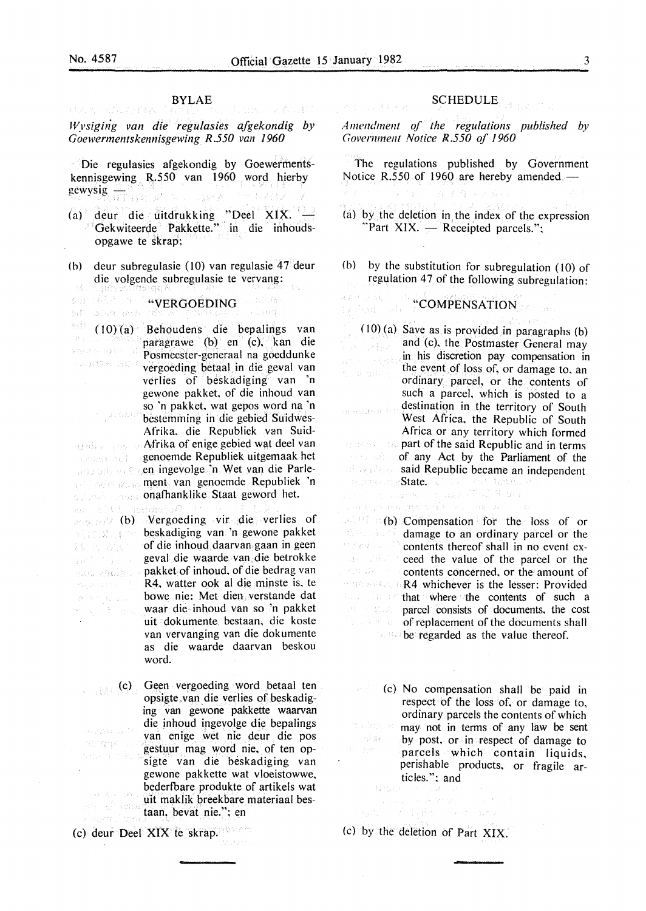約証()  $\frac{1}{2}$  to  $\frac{1}{2}$ 

xpara extrict na di 1963 dal P

a. Gant

料10.2 実内

mou enoites «

 $\{ \lambda \in \mathcal{V}^{(1,1)} \times \mathcal{E}_{\lambda} \mid \mathcal{E}_{\lambda, \lambda} \}$ 

an an Briann

ភាពក្នុងក្ប

ES 15 61.60

**HAA REAMBA** 

VAL 311

四月 的复数大路

ti gir

# BYLAE

*Wysiging van die regulasies afgekondig by Goewermentskennisgewing R.550 van 1960* 

Die regulasies afgekondig by Goewermentskennisgewing R.550 van 1960 word hierby gewysig- 1958 and 1968 and 2008

- (a) deur die uitdrukking "Deel XIX. Gekwiteerde Pakkette." in die inhoudsopgawe te skrap;
- (b) deur subregulasie (lO) van regulasie 47 deur die volgende subregulasie te vervang: in f

 $\mathbb{P}^1_{\mathbb{C}}\left(\mathbb{P}^1_{\mathbb{C}}\right)\leq C\sum_{i=1}^d\mathbb{P}^1_i.$ 3時 横行 No Still "<sup>WERGOEDING</sup>" ("VERGOEDING") ruma).

(l 0)( a) Behoudens die bepalings van paragrawe (b) en (c), kan die Posmeester-generaal na goeddunke vergoeding betaal in die geval van verlies of beskadiging van 'n gewone pakket, of die inhoud van so 'n pakket, wat gepos word na 'n bestemming in die gebied Suidwes-Afrika, die Republiek van Suid-Afrika of enige gebied wat dee! van genoemde Republiek uitgemaak het .en ingevolge 'n Wet van die Parlement van genoemde Republiek 'n onafhanklike Staat geword het.

(b) vergoeding vir die verlies of beskadiging van 'n gewone pakket of die inhoud daarvan gaan in geen geval die waarde van die betrokke pakket of inhoud, of die bedrag van R4, watter ook al die minste is, te bowe nie: Met dien verstande dat waar die inhoud van so 'n pakket uit dokumente bestaan, die koste van vervanging van die dokumente as die waarde daarvan beskou word.

 $(c)$  Geen vergoeding word betaal ten opsigte .van die verlies of beskadiging van gewone pakkette waarvan die inhoud ingevolge die bepalings  $\{ \psi_{\lambda, \lambda} \mathcal{V}_{\lambda, \lambda} \mathbb{E}_{\lambda, \lambda} \left( \mathcal{Y}_{\lambda, \lambda} \right)^{\lambda} \}$ van enige wet nie deur die pos marqqa ... gestuur mag word nie, of ten opsigte van die beskadiging van gewone pakkette wat vloeistowwe, bederfbare produkte of artikels wat  $\mathbf{v} \circ \mathbb{R}$  ,  $\mathbb{R} \to \mathbb{R}$  ,  $\mathbb{R} \times \mathbb{R}$ uit maklik breekbare materiaal bes-5 Hufi (dama taan, bevat nie."; en i trisk

(c) deur Dee! XIX te skrap. ers en la

### SCHEDULE

*Amendment qf the regulations published by Copernment Notice R.550 of 1960* 

The regulations published by Government Notice R.550 of 1960 are hereby amended

用录像 人名菲拉

(a) by the deletion in the index of the expression "Part XIX.  $-$  Receipted parcels.";

(b) by the substitution for subregulation  $(10)$  of regulation 47 of the following subregulation:

# **ALTER SECOMPENSATION**

 $(10)$  (a) Save as is provided in paragraphs (b) and (c), the Postmaster General may  $\lim_{n \to \infty} \ln n$  his discretion pay compensation in the event of loss of, or damage to, an n dipalis ordinary parcel, or the contents of such a parcel, which is posted to a destination in the territory of South a ann an ' West Africa, the Republic of South Africa or any territory which formed part of the said Republic and in terms **of any Act by the Parliament of the** said Republic became an independent margresome State. And has a series had the

近年 30 **Converted Additional Property** THE CONTRACTOR (MATCHELL AND THE CANDIDAL AND

 $\mathbb{R}^{\mathbb{N}}$  (b) Compensation for the loss of or damage to an ordinary parcel or the  $\mathcal{O}(\mathcal{E}(\mathcal{G}^{\mathcal{E}}))$ contents thereof shall in no event exar Ab ceed the value of the parcel or the Historia contents concerned, or the amount of R4 whichever is the lesser: Provided  $\mathcal{C}_{\text{max}}(\mathcal{I}) = \mathcal{A} \mathcal{I} + \mathcal{O}^2$ that where the contents of such a 第二十五四六 parcel consists of documents, the cost *College Struttuare of replacement of the documents shall* **be regarded as the value thereof.** 

(c) No compensation shall be paid in respect of the loss of, or damage to, ordinary parcels the contents of which may not in terms of any law be sent **SAME** by post, or in respect of damage to  $\mathcal{E}_t = \mathcal{F}_t \mathcal{H}^{(t)}$ parcels which contain liquids, perishable products, or fragile articles."; and

Selection and a

 $\sim 10^{11}$  m  $^{-1}$   $\sim$ 

Stage Story (c) by the deletion of Part XIX.

-27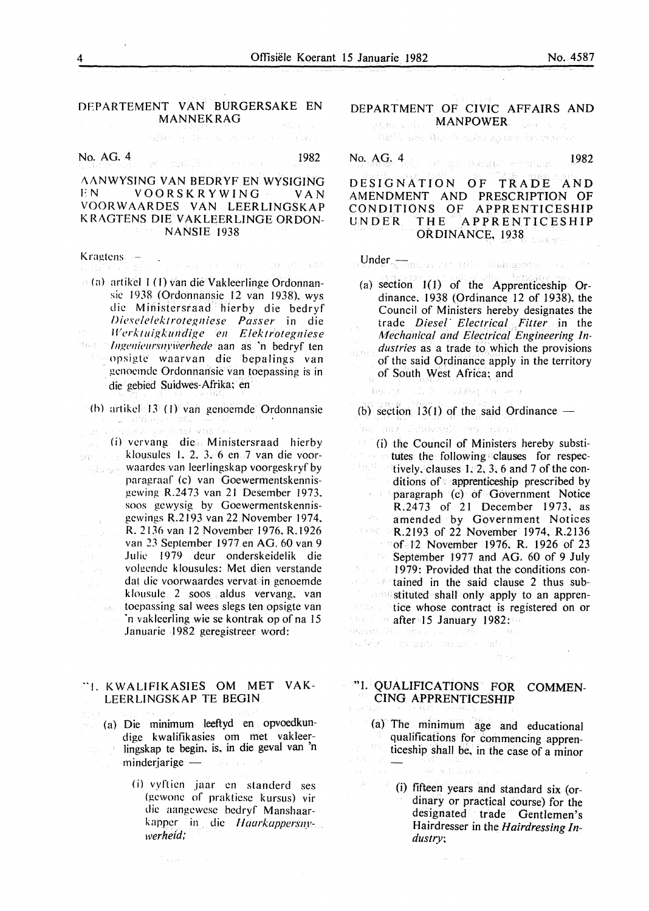# DFPARTEMENT VAN BURGERSAKE EN MANNEKRAG

SAM NORTH STORY OF

No. AG. 4 1982

 $\cdot$ 

i\ANWYSING VAN BEDRYF EN WYSIGING FN VOORSKRYWING VAN VOORWAARDES VAN LEERLINGSKAP K RAGTENS DIE VAKLEERLINGE ORDON-NANSIE 1938

Kragtens -医细胞的 的复数人名加拉尔德 属作

(a) artikcl I (I) van die Vakleerlinge Ordonnansic 1938 (Ordonnansie 12 van 1938). wys die Ministersraad hierby die bedryf lJiese!elektrote~niese *Passer* in die ll'erktui~kundi~e *en E!ektrotegniese*   $\mathcal{O}_{\mathcal{M}}(\vec{\xi})$ *Ingenieursnywerhede* aan as 'n bedryf ten opsigte waarvan die bepalings van genoemde Ordonnansie van toepassing is in die gebied Suidwes-Afrika; en

{h) artikcl 13 (I} van genoemde Ordonnansie

an vir Basil vid

(i) vervang die Ministersraad hierby see klousules L 2. 3. 6 en 7 van die voorwaardes van leerlingskap voorgeskryf by paragraaf (c) van Goewermentskennisgewing R.2473 van 21 Desember 1973. soos gcwysig by Goewermentskennisgewings R.2193 van 22 November 1974. R. 2 136 van 12 November 1976. R.l926 van *23* September 1977 en AG. 60 van 9 Julie 1979 deur onderskeidelik die volgende klousules: Met dien verstande dat die voorwaardes vervat in genoemde klousule 2 soos aldus vervang. van  $\langle \tau \rangle$  ,  $\alpha\delta$ toepassing sal wees slegs ten opsigte van 'n vakleerling wie se kontrak op of na 15 Januarie 1982 geregistreer word:

#### ··1. KWALIFIKASIES OM MET VAK-LEERLINGSKAP TE BEGIN

(a) Die minimum leeftyd en opvoedkundige kwalifikasies om met vakleerlingskap te begin, is, in die geval van 'n  $m$ inderjarige  $-$ 

> (j) vyrtien jaar en standerd ses (gewone of prakticsc kursus) vir die aangcwcsc bcdryf Manshaarkappcr in die *llaarkappersnywerheid;*

DEPARTMENT OF CIVIC AFFAIRS AND **MANPOWER** 网络生成形态

**REAL SAN RIGHT ROOM AND MORE START** 

No.  $AG_{\nu}$ 4 1982 - Alexandria American - 1982

DESIGNATION OF TRADE AND AMENDMENT AND PRESCRIPTION OF CONDITIONS OF APPRENTICESHIP<br>UNDER THE APPRENTICESHIP **APPRENTICESHIP** ORDINANCE, 1938 .<br>Kabupatèn K

Under Gerangen von die Liesingender von

- (a) section  $I(1)$  of the Apprenticeship Ordinance. 1938 (Ordinance 12 of 1938), the Council of Ministers hereby designates the trade *Diesel" Electrical Fitter* in the *Mechanical and Electrical Engineering Industries* as a trade to which the provisions of the said Ordinance apply in the territory of South West Africa; and
- · houses the mixter cause a

## (b) section  $13(1)$  of the said Ordinance  $-$

Principal Party Application

 $\phi$  wild consider magnetically  $\phi$ 

 $\left( i\right)$  (i) the Council of Ministers hereby substitutes the following clauses for respec- $\mathbb{F}_{\Omega} \mathcal{G}$ tively, clauses  $1, 2, 3, 6$  and 7 of the conditions of. apprenticeship prescribed by  $p^2$  baragraph (c) of Government Notice R.2473 of 21 December 1973, as  $\mathcal{P}^{(k)}(g)$  . amended by Government Notices TRAC 5 R.2193 of 22 November 1974, R.2136 **of 12 November 1976, R. 1926 of 23** September 1977 and AG. 60 of 9 July 1979: Provided that the conditions con $t_{\text{max}}$  and  $t_{\text{max}}$  and  $t_{\text{max}}$  and  $t_{\text{max}}$  and  $t_{\text{max}}$  and  $t_{\text{max}}$ stituted shall only apply to an apprentice whose contract is registered on or after 15 January 1982:<br>Montante allegate and the mo

"1. QUALIFICATIONS FOR COMMEN-CING APPRENTICESHIP

 $\mathcal{V}_1$  ,  $\mathcal{V}_2$  .

(a) The minimum age and educational qualifications for commencing apprenticeship shall be, in the case of a minor

使假的 双侧

(i) fifteen years and standard six (ordinary or practical course) for the designated trade Gentlemen's Hairdresser in the *Hairdressing Industry;*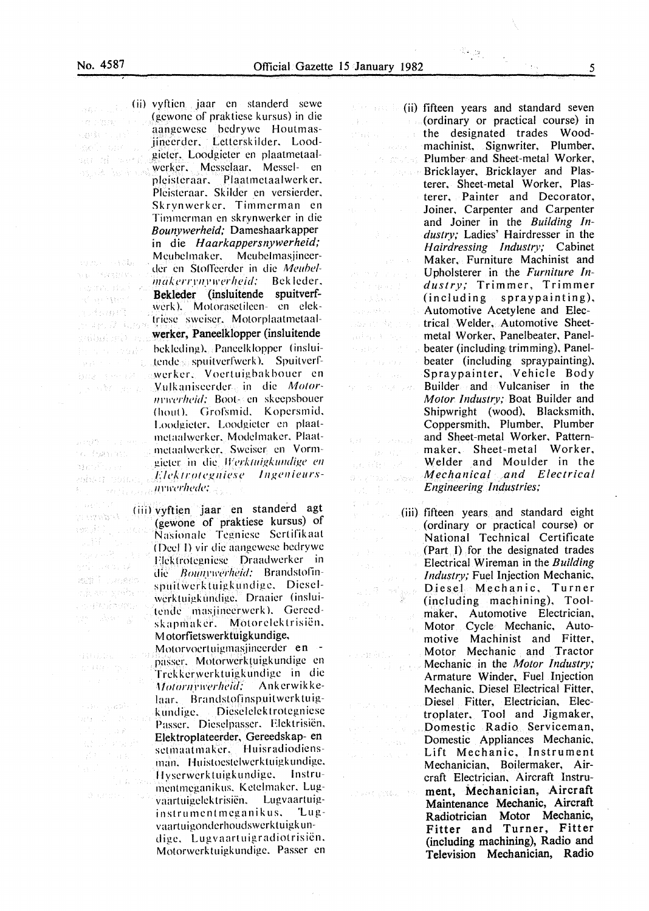than s

 $\mathbb{E}[\mathbf{r}^{\top} \mathbf{r}^{\top} \mathbf{u}^{\top} \mathbf{r}^{\top} \mathbf{u}^{\top} \mathbf{r}^{\top}]$ 

an mara ang

 $3.33333$ 

 $\epsilon = \sqrt{3}$  and  $\epsilon$ 

(1)转列(1)定 **医检胃管 医产** 

 $\frac{d}{dt} = \frac{1}{2} (1 - \frac{1}{2} \mathcal{I})$  .

 $\mathcal{F}(\mathcal{A})$  and  $\mathcal{F}(\mathcal{A})$ 

**A. F. PD (Fig. 1)** 

 $\mathcal{V}(\mathbb{R}^n) \cong \mathcal{V}(\mathbb{R}^n)$ 

sepportes.

( ii) vyftien jaar en standerd scwe **BALLA** siya inzija rgo (15) ing sing the project seit an an di sacr 成就 医血管

man - Hab

near in Komsterville  $\pm\epsilon\gtrsim 15\,\mathrm{M_\odot}$  ) for  $^4$  $\mathcal{F}_0$  and  $\mathcal{F}(\mathcal{G})$ 

Judiner3

o Panas

der Storen

Waase ep rowing contact  $\mathbb{P}(\mathbb{R}^d)$ 

관심 : 고객의 글론

mill caseto

alian yek 小呼吸症物理的 ter i Aren i g

最快的 等点

بأهوال المعاري  $M^2 A = \begin{pmatrix} 1 & 0 \\ 0 & 1 \end{pmatrix} \in \begin{pmatrix} 0 & 0 & 0 \\ 0 & 0 & 0 \end{pmatrix}$ 

> $\sim 14$  . t.<br>Gebo ing s

> > $\gamma_{\rm ap}$

Pleisteraar. Skilder en versierder. Skrynwerker. Timmerman en Timmerman en skrynwerker in die *B ounywerheid,·* Dameshaarkapper in die *Haarkappersnywerheid;*  Meubelmaker. Meubelmasjineerder en Stoffeerder in die Meubelmakerrynywerheid; Bekleder, Bekleder (insluitende spuitverfwerk). Motorasctileen- en elektriese sweiser. Motorplaatmetaalmar. 7 km werker, Paneelklopper (insluitende gaibhlimh ma hcklcding). Pancclkloppcr (inslui-Bernsteinung der tende spuitverfwerk). Spuitverfand the Control beachered Pol wcrkcr. Yocrtuigbakboucr en Vulkaniseerder in die Motor-John M. Berge lleurerheid: Boot- en skeepsbouer (hout). Grofsmid. Kopersmid. Loodgieter. Loodgieter en plaatmctaalwcrker. Modclmakcr. Plaat-Sendo Principeis mclaalwcrkcr. Swciscr en Vormgieter in die *Werktuigkundige en* Flektrotegniese Ingenieurs*nnrerltede:* 

(gcwonc of prakticsc kursus) in die aangewese bedrywe Houtmasjineerdcr. Lcttersk ilder. Loodgieter. Loodgieter en plaatmetaalwerker. Messelaar. Messel- en pleisteraar. Plaatmctaalwerker,

<iii) vyftien jaar en standerd agt (gewone of praktiese kursus) of Nasionale Tegniese Sertifikaat (Deel I) vir die aangewese bedrywe Flektrotegniese Draadwerker in die Bounywerheid: Brandstofinspuitwerktuigkundige. Dieselwcrktuigkundigc. Draaier (insluitende masjinccrwcrk). Gcrccdskapmaker. Motorelektrisiën. M otorfietswerktuigkundige,

> Motorvoertuigmasjineerder en passer. Motorwerktuigkundige en Trekkerwerktuigkundige in die<br>Motornrw*erheid*: Ankerwikke- $Motorn'werheid;$ laar. Brandstofinspuitwerktuigkundige. Dieselelektrotegniese Passer. Dicsclpasscr. Elcktrisien. Elektroplateerder, Gereedskap- en setmaatmaker. Huisradiodiensman. Huistoestelwerktuigkundige. llyscrwcrktuigkundigc. lnstrumentmeganikus. Ketelmaker. Lugvaartuigclcktrisicn. Lugvaartuiginstrumentmeganikus. Lugvaartuigonderhoudswerktuigkundige. Lugvaartuigradiotrisiën. Motorwcrktuigkundige. Passer en

 $\mathbb{R}^n$  and  $\mathbb{R}^n$  (ii) fifteen years and standard seven (ordinary or practical course) in the designated trades Wood- $\pm$ machinist, Signwriter, Plumber, Plumber and Sheet-metal Worker,  $\mathcal{J}_1=\mathcal{J}_2^{\mathrm{th}}\sqrt{\epsilon_1}\mathcal{A}_3^{\mathrm{th}}$ Bricklayer, Bricklayer and Plasterer, Sheet-metal Worker, Plasterer, Painter and Decorator, Joiner, Carpenter and Carpenter and Joiner in the *Building Industry;* Ladies' Hairdresser in the *Hairdressing Industry;* Cabinet Maker, Furniture Machinist and Upholsterer in the *Furniture Industry;* Trimmer, Trimmer (including spraypainting), Automotive Acetylene and Elec-Laware Helping trical Welder, Automotive Sheet-Address to the conmetal Worker, Panelbeater, Panel**beater (including trimming), Panel**beater (including spraypainting), Spraypainter, Vehicle Body Part of British Card Builder and Vulcaniser in the *Motor Industry;* Boat Builder and Shipwright (wood), Blacksmith, Coppersmith, Plumber, Plumber and Sheet-metal Worker, Pattern-4.99 Collection States maker. Sheet-metal Worker, Welder and Moulder in the *Mechanical and Electrical*  bio (marti Gayar *Engineering Industries;* agno Fine An

 $(iii)$  fifteen years and standard eight (ordinary or practical course) or National Technical Certificate (Part I) for the designated trades Electrical Wireman in the *Building Industry;* Fuel Injection Mechanic, n and and and an<br>Canada and and an<br>Canada Diesel Mechanic, Turner (including machining), Toolmaker, Automotive Electrician, Motor Cycle Mechanic, Auto- $\mathcal{F}_1$ motive Machinist and Fitter, Motor Mechanic and Tractor Mechanic in the *Motor Industry,·*  不同 医骨髓 Armature Winder, Fuel Injection Mechanic. Diesel Electrical Fitter, Diesel Fitter, Electrician, Electroplater. Tool and Jigmaker, Domestic Radio Serviceman, Domestic Appliances Mechanic, Lift Mechanic, Instrument Mechanician, Boilermaker, Aircraft Electrician, Aircraft Instrument, Mechanician, Aircraft Chandel Steel 19 Maintenance Mechanic, Aircraft Radiotrician Motor Mechanic, Fitter and Turner, Fitter (including machining), Radio and Television Mechanician, Radio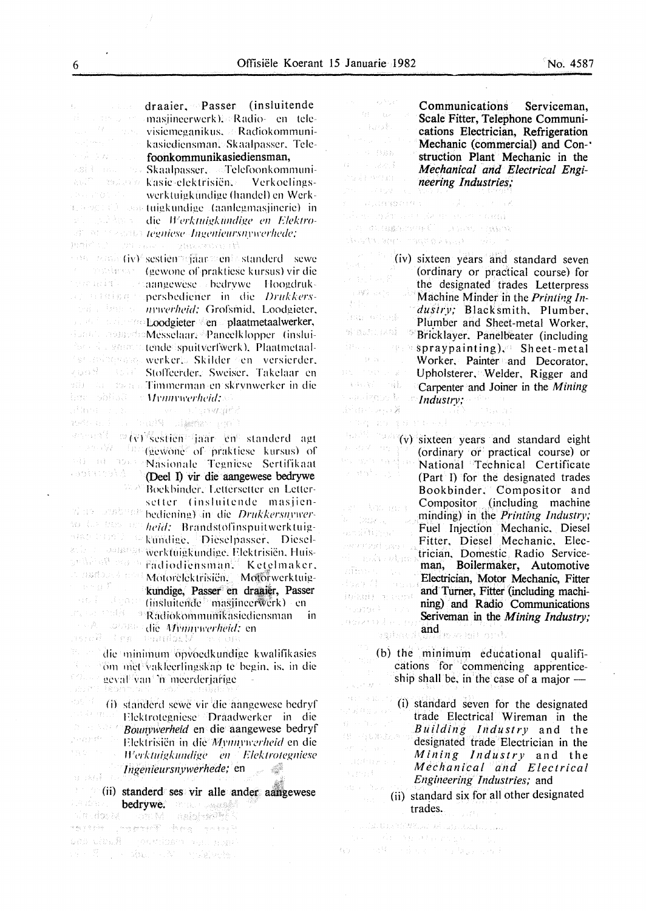List of County

a Tank

· 5 登録録

έř.

机械工作

起转 后

**Wash Care** 

 $\chi$  and  $\chi$  .

App 27H 19947

 $\psi_1^2\mathcal{E}=\mathbb{P}^1_1\cup\mathbb{P}^1_2\mathcal{E}$ 

 $\lambda$  , page  $\mathbb{C}$ 

draaier, Passer (insluitende  $\bar{4}$  . masjineerwerk). Radio- en televisiemeganikus. **Radiokommuni**kasicdicnsman. Skaalpasser. Telcs Alban College foonkommunikasiediensman, Skaalpasser. Telefoonkommunikas ie elektrisiën. Verkoelingswerkluigkundige (handel) en Werk $t_{\text{max}}$  .  $\epsilon$  and tuigkundige (aanlegmasjinerie) in die *Werktuigkundige en Elektro*t#'. <sup>20</sup> issued **regniese Ingenieursnywerhede;**<br>Innis 12 = 193 / 111 + guazement Pe  $\cos$  is sextigated standerd sewe (gewone of prakticse kursus) vir die war and the annual annual and annual development of the manufacturer and the manufacturer and the manufacturer pershediencr in die */)rukkers*lind a little to invierheid: Grofsmid. Loodgieter. Loodgieter en plaatmetaalwerker, Mcsselaar, Pancelklopper (insluitende spuit verfwerk). Plaatmetaalwerker. Skilder den versierder. vuad star Stoffeerder. Sweiser. Takelaar en mit die Tammerman en skrynwerker in die been shindi or **Mymywerheid:** afland on both www.sharmait? the manager when it is the vir schien vir schien jaar en standerd agt  $\mathbb{R}^2$  (in quinter of prakticse kursus) of WE BE TONE 한도 성공의 일종 Nasionalc Tegniese Sertifikaal **Matching** (Deel I) vir die aangewese bedrywe tic W Boekhindcr. Lcllerseller en Lettersetter (insluitende masjienhet als sy die bediening) in die *Drukkersnywer*and the Blass of the heid: Brandstofinspuitwerktuigalse barolle kundige. Dieselpasser. Dieselwerktuigkundige. Flektrisien. Huis- $\mathbb{R}^{n\setminus\{i\}\setminus\{i\}}$  is in Fadiodichsman. Ketelmaker. ,' as the direct Motorclek trisien. Motorwerktuige ang Des kundige, Passer en draaier, Passer (insluitende masjincerwerk) en R ad i<sup>n die</sup> Radiokommunikasiediensman in  $\frac{d}{d}$  subset of  $\frac{d}{d}$  Mymrwerheid: en die minimum opvoedkundige kwalifikasies **Form met vaklecrlingskap te begin, is. in die** roll. | geval van 'n meerderjarige Labu (\* 1 assist i  $\frac{m}{m}$  (i) standerd sewe vir die aangewese bedryf (i) aan aangewese bedryf (i) die aangewese bedryf (i) die aangewese bedryf (i) die aangewese bedryf (i) die aangewese bedryf (i) die aangewese bedryf (i) die aangewese Flektrotegniese Draadwerker in die a Risa Bounvwerheid en die aangewese bedryf y ang patriot). Flcktrisicn in *dicM\_l'llll.l'll'"rlleid* en die  $\mathbb{S}^1_{\mathbb{Z}}$  or  $\mathbb{S}^1_{\mathbb{Z}}$ *H'erktuigkundige en Elektrotegniese lngenieursnywerhede;* en - 4  $\{x_{i+1}, x_{i+1}\}$ (ii) standerd ses vir aile ander aailgewese bedrywe. **The company of the second second** 医**性病病病 - Mura - Moch-Fil**e and and the property of the second tes dia# perdine and non-1998年 1000 And 1998年 1999年 1999年

Communications Serviceman, Scale Fitter, Telephone Communications Electrician, Refrigeration Mechanic (commercial) and Con-· struction Plant Mechanic in the *Mechanical and Electrical Engineering Industries;* 

 $\label{eq:2.1} \left\langle \psi_{\alpha}^{(1)}\right\rangle = \left\langle \psi_{\alpha}^{(1)}\right\rangle \left\langle \psi_{\alpha}^{(2)}\right\rangle = \left\langle \psi_{\alpha}^{(2)}\right\rangle$ **AUGUSTS CONTRACT** silen av se se den nombradi - AT はには露在の中かく<sup>1</sup> - いちにち - <sub>1</sub>88202  $\Delta$ v SAN, Gref Hinson o Alpha Hinson in Alpha

(iv) sixteen years and standard seven (ordinary or practical course) for  $\sim 3\pi^2$  and  $\hat{E}$ the designated trades Letterpress and and co Machine Minder in the *Printing Industry;* Blacksmith, Plumber. land actions. Plumber and Sheet-metal Worker, erastikai ( Bricklayer. Panelbeater (including in the spraypainting), Sheet-metal  $\Omega(\mathfrak{g}_{\mathbb{Z}})$  . Worker. Painter and Decorator,  $\hat{\gamma}$  (c)  $\hat{\gamma}$  ,  $\hat{\gamma}$  as Upholsterer. Welder, Rigger and  $\{\{\lambda_i\}_{i=1}^n\}_{i=1}^n$ Carpenter and Joiner in the *Mining*  **September 12** *Industry;*  图(Specificate) **TRACK** 

stup an printingly shruppin **Example 2.3** (v) sixteen years and standard eight (ordinary or practical course) or National Technical Certificate (Part I) for the designated trades Bookbinder. Compositor and Compositor . (including machine et the man minding) in the *Printing Industry;*  is (Base Julie 19 Fuel Injection Mechanic, Diesel Fitter, Diesel Mechanic, Elec-Ewritted Saving trician, Domestic Radio Servicede manaulma man, Boilermaker, Automotive nitore del Electrician, Motor Mechanic, Fitter Post of Communication and Turner, Fitter (including machiinlani) masser ning) and Radio Communications  $\mathcal{L}(\mathbb{R}) \subset \mathcal{L}$ verser (\* Seriveman in the *Mining Industry;*  asizendo Lei and *maximum* **Tearbreat** 

(b) the minimum educational qualifications for commencing apprenticeship shall be, in the case of a major  $\hat{\hat{u}}_{\rm{eff}} \hat{v}^{\rm{d}}/\hat{\mathcal{P}}_{\rm{eff}}^{\rm{d}}$ 

1437 43007 (i) standard seven for the designated айнал trade Electrical Wireman in the  $\Omega \rightarrow \Omega$  ,  $\epsilon \rightarrow$ *8 u* if *ding Industry* and the  $\left(\begin{smallmatrix} 1 & 0 & 0 & 0 \\ 0 & 1 & 0 & 0 \\ 0 & 0 & 0 & 0 \\ 0 & 0 & 0 & 0 \\ 0 & 0 & 0 & 0 \\ 0 & 0 & 0 & 0 \\ 0 & 0 & 0 & 0 \\ 0 & 0 & 0 & 0 \\ 0 & 0 & 0 & 0 \\ 0 & 0 & 0 & 0 \\ 0 & 0 & 0 & 0 \\ 0 & 0 & 0 & 0 & 0 \\ 0 & 0 & 0 & 0 & 0 \\ 0 & 0 & 0 & 0 & 0 \\ 0 & 0 & 0 & 0 & 0 \\ 0 & 0 & 0 & 0 & 0 \\ 0 & 0$ designated trade Electrician in the *Mining Industry* and the *Mechanical and Electrical Engineering Industries;* and (ii) standard six for all other designated

trades.

 $\mathcal{L}(\mathcal{A},\mathcal{A},\mathcal{U})\mathcal{A}^{\ast}(\mathcal{U})\mathcal{A}^{\ast}(\mathcal{U})\mathcal{A}^{\ast}(\mathcal{U})\mathcal{A}^{\ast}(\mathcal{U})\mathcal{A}^{\ast}(\mathcal{U})\mathcal{A}^{\ast}(\mathcal{U})\mathcal{A}^{\ast}(\mathcal{U})\mathcal{A}^{\ast}(\mathcal{U})\mathcal{A}^{\ast}(\mathcal{U})$ ina – Antony amerykanista.<br>Konstant – Antoni i Sankaraka  $\{ \chi^2 \}_{1 \leq i \leq n}$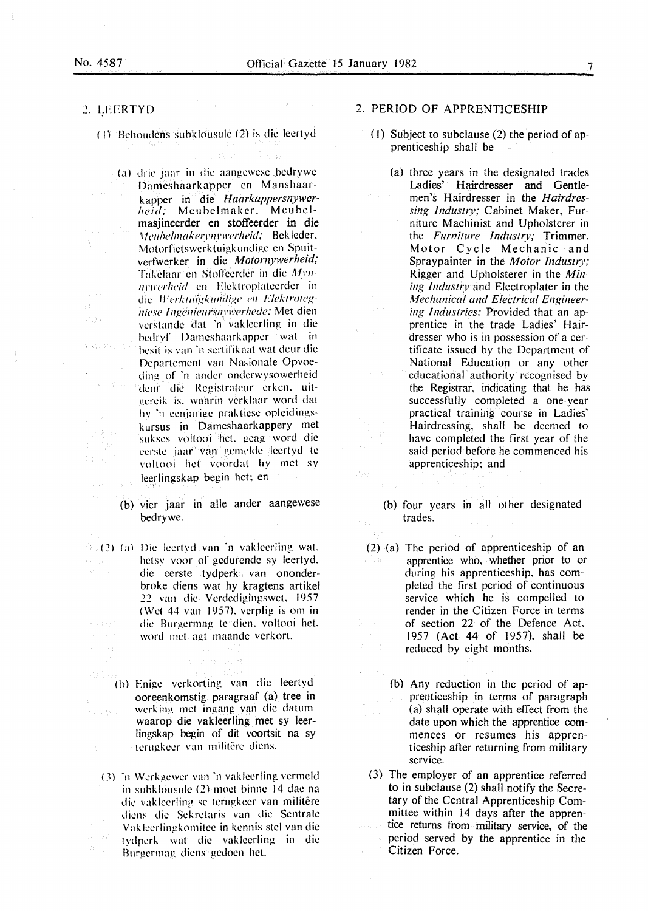a share

 $\frac{1}{2}$ 

 $\sim 3$ 

 $\ddot{\phantom{a}}$ 

alt) a su

 $11.50$ 1745-7

 $\left\{ \left\vert \mathbf{S}_{k}\right\rangle _{k}\right\} _{k\in\mathbb{N}}$ 

### , LFERTYD

(I) Behoudens suhklousule (2) is die leertyd

Television of the A

- (a) dric jaar in die aangewese hedrywe Dameshaarkapper en Manshaarkapper in die *Haarkappersnywer*heid: Meuhelmaker. Meuhelmasjineerder en stoffeerder in die *Meubelmakerynywerheid;* Bekleder, Motorfictswerktuigkundige en Spuitverfwerker in die *Motornywerheid;*  Takelaar en Stoffeerder in die Mynmywerheid en Elektroplateerder in die Werktutgkundige en Elektrotegniese Ingenieursnywerhede: Met dien verstande dat 'n vakleerling in die hcdryf Dameshaarkapper wat in **SALPHON** hcsil is van ·n sertiflkaat wal deur die Dcpartcment van Nasionale Opvoeding of ·n andcr onderwysowcrheid  $\gamma \leq \lambda$  . See . deur die Registrateur erken, uitgcrcik is. waarin verk laar word dat hv ·n ccniarigc prakticsc opleidingskursus in Dameshaarkappery met sukses voltooi heL geag word die cerste jaar van gemelde leertyd te voltooi het voordat hy met sy leerlingskap begin het; en
	- (b) vier jaar in aile ander aangewese bedrywe.
- $(2)$  (a) Die leertyd van 'n vakleerling wat, hetsy voor of gedurende sy leertyd. die eerste tydperk van ononderbroke diens wat hy kragtens artikel *22* van die Verdedigingswcl. 1957 (Wet 44 van 1957), verplig is om in die Burgcrmag le dien. voltooi het. 光光灯  $\mathcal{L}(r) = r \mathcal{L}(r)$ word met agt maande verkorl.

(h) Enige vcrkorting van die leertyd ooreenkomstig paragraaf (a) tree in werking met ingang van die datum waarop die vakleerling met sy leerlingskap begin of dit voortsit na sy terugkeer van militêre diens.

 $\{x_{1}, x_{2}, \cdots, x_{n}\}$  ,  $\{x_{1}, x_{2}\}$ 

(3) <sup>\*</sup>n Werkgewer van <sup>\*</sup>n vakleerling vermeld in subklousulc (2) moet binne 14 dac na die vaklcerling sc terugkeer van militere diens die Sekrctaris van die Scntralc Vaklccrlingkomitee in kennis stcl van die - J tydpcrk wat die vaklccrling in die Burgermag diens gedoen het.

# 2. PERIOD OF APPRENTICESHIP

- (I) Subject to subclause (2) the period of apprenticeship shall be  $-$ 
	- (a) three years in the designated trades Ladies' Hairdresser and Gentlemen's Hairdresser in the *Hairdressing lndustt:v;* Cabinet Maker, Furniture Machinist and Upholsterer in the *Furniture Industry;* Trimmer. Motor Cycle Mechanic and Spraypainter in the *Motor Industry;*  Rigger and Upholsterer in the *Mining lnduslf:v* and Electroplater in the *Mechanical and Electrical Engineering Industries:* Provided that an apprentice in the trade Ladies' Hairdresser who is in possession of a certificate issued by the Department of National Education or any other educational authority recognised by the Registrar, indicating that he has successfully completed a one-year practical training course in Ladies' Hairdressing, shall be deemed to have completed the first year of the said period before he commenced his apprenticeship; and
		-

- 50

tura e.

 $\stackrel{\text{\tiny def}}{=} \mathcal{O}(Q)$ 

 $\pm\sqrt{2}$ 

 $\sim$ 

stykys

- (b) four years in all other designated trades.
- (2) (a) The period of apprenticeship of an apprentice who, whether prior to or  $\mathcal{K} \times \mathbb{R}^3$ during his apprenticeship, has completed the first period of continuous service which he is compelled to render in the Citizen Force in terms  $\mathbb{E}_{\mathbf{z}^{\prime}}$  ,  $\mathbb{E}_{\mathbf{z}^{\prime}}$ of section 22 of the Defence Act. 1957 (Act 44 of 1957). shall be reduced by eight months.
	- (b) Any reduction in the period of apprenticeship in terms of paragraph (a) shall operate with effect from the date upon which the apprentice commences or resumes his apprenticeship after returning from military service.
	- (3) The employer of an apprentice referred to in subclause  $(2)$  shall notify the Secretary of the Central Apprenticeship Committee within 14 days after the apprentice returns from military service, of the period served by the apprentice in the Citizen Force.